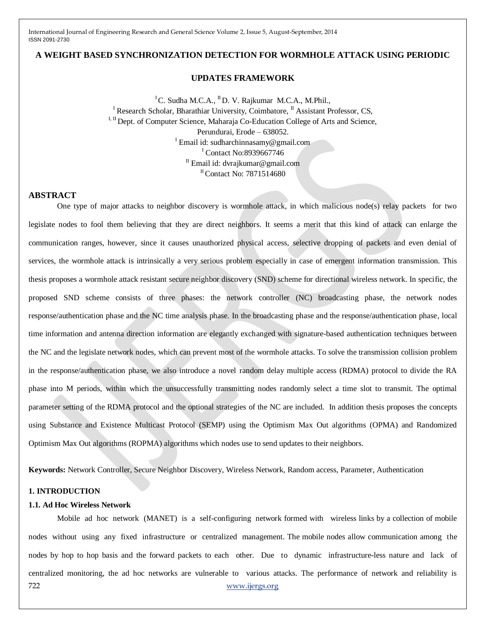## **A WEIGHT BASED SYNCHRONIZATION DETECTION FOR WORMHOLE ATTACK USING PERIODIC**

## **UPDATES FRAMEWORK**

 ${}^{I}$ C. Sudha M.C.A.,  ${}^{II}$ D. V. Rajkumar M.C.A., M.Phil., <sup>I</sup> Research Scholar, Bharathiar University, Coimbatore, <sup>II</sup> Assistant Professor, CS, I, II Dept. of Computer Science, Maharaja Co-Education College of Arts and Science, Perundurai, Erode – 638052. <sup>I</sup> Email id: sudharchinnasamy@gmail.com <sup>I</sup> Contact No:8939667746 II Email id: dvrajkumar@gmail.com  $\rm{^{II}}$ Contact No: 7871514680

## **ABSTRACT**

One type of major attacks to neighbor discovery is wormhole attack, in which malicious node(s) relay packets for two legislate nodes to fool them believing that they are direct neighbors. It seems a merit that this kind of attack can enlarge the communication ranges, however, since it causes unauthorized physical access, selective dropping of packets and even denial of services, the wormhole attack is intrinsically a very serious problem especially in case of emergent information transmission. This thesis proposes a wormhole attack resistant secure neighbor discovery (SND) scheme for directional wireless network. In specific, the proposed SND scheme consists of three phases: the network controller (NC) broadcasting phase, the network nodes response/authentication phase and the NC time analysis phase. In the broadcasting phase and the response/authentication phase, local time information and antenna direction information are elegantly exchanged with signature-based authentication techniques between the NC and the legislate network nodes, which can prevent most of the wormhole attacks. To solve the transmission collision problem in the response/authentication phase, we also introduce a novel random delay multiple access (RDMA) protocol to divide the RA phase into M periods, within which the unsuccessfully transmitting nodes randomly select a time slot to transmit. The optimal parameter setting of the RDMA protocol and the optional strategies of the NC are included. In addition thesis proposes the concepts using Substance and Existence Multicast Protocol (SEMP) using the Optimism Max Out algorithms (OPMA) and Randomized Optimism Max Out algorithms (ROPMA) algorithms which nodes use to send updates to their neighbors.

**Keywords:** Network Controller, Secure Neighbor Discovery, Wireless Network, Random access, Parameter, Authentication

#### **1. INTRODUCTION**

### **1.1. Ad Hoc Wireless Network**

722 [www.ijergs.org](http://www.ijergs.org/) Mobile ad hoc network (MANET) is a self-configuring network formed with wireless links by a collection of mobile nodes without using any fixed infrastructure or centralized management. The mobile nodes allow communication among the nodes by hop to hop basis and the forward packets to each other. Due to dynamic infrastructure-less nature and lack of centralized monitoring, the ad hoc networks are vulnerable to various attacks. The performance of network and reliability is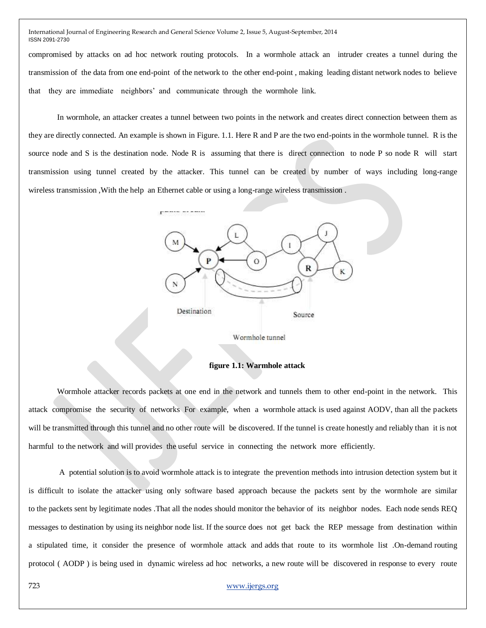compromised by attacks on ad hoc network routing protocols. In a wormhole attack an intruder creates a tunnel during the transmission of the data from one end-point of the network to the other end-point , making leading distant network nodes to believe that they are immediate neighbors' and communicate through the wormhole link.

In wormhole, an attacker creates a tunnel between two points in the network and creates direct connection between them as they are directly connected. An example is shown in Figure. 1.1. Here R and P are the two end-points in the wormhole tunnel. R is the source node and S is the destination node. Node R is assuming that there is direct connection to node P so node R will start transmission using tunnel created by the attacker. This tunnel can be created by number of ways including long-range wireless transmission ,With the help an Ethernet cable or using a long-range wireless transmission .



Wormhole tunnel

**figure 1.1: Warmhole attack**

Wormhole attacker records packets at one end in the network and tunnels them to other end-point in the network. This attack compromise the security of networks For example, when a wormhole attack is used against AODV, than all the packets will be transmitted through this tunnel and no other route will be discovered. If the tunnel is create honestly and reliably than it is not harmful to the network and will provides the useful service in connecting the network more efficiently.

A potential solution is to avoid wormhole attack is to integrate the prevention methods into intrusion detection system but it is difficult to isolate the attacker using only software based approach because the packets sent by the wormhole are similar to the packets sent by legitimate nodes .That all the nodes should monitor the behavior of its neighbor nodes. Each node sends REQ messages to destination by using its neighbor node list. If the source does not get back the REP message from destination within a stipulated time, it consider the presence of wormhole attack and adds that route to its wormhole list .On-demand routing protocol ( AODP ) is being used in dynamic wireless ad hoc networks, a new route will be discovered in response to every route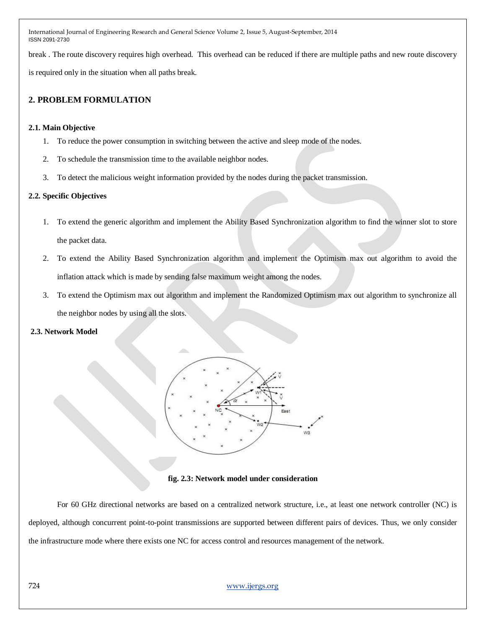break . The route discovery requires high overhead. This overhead can be reduced if there are multiple paths and new route discovery

is required only in the situation when all paths break.

# **2. PROBLEM FORMULATION**

## **2.1. Main Objective**

- 1. To reduce the power consumption in switching between the active and sleep mode of the nodes.
- 2. To schedule the transmission time to the available neighbor nodes.
- 3. To detect the malicious weight information provided by the nodes during the packet transmission.

## **2.2. Specific Objectives**

- 1. To extend the generic algorithm and implement the Ability Based Synchronization algorithm to find the winner slot to store the packet data.
- 2. To extend the Ability Based Synchronization algorithm and implement the Optimism max out algorithm to avoid the inflation attack which is made by sending false maximum weight among the nodes.
- 3. To extend the Optimism max out algorithm and implement the Randomized Optimism max out algorithm to synchronize all the neighbor nodes by using all the slots.

## **2.3. Network Model**



## **fig. 2.3: Network model under consideration**

For 60 GHz directional networks are based on a centralized network structure, i.e., at least one network controller (NC) is deployed, although concurrent point-to-point transmissions are supported between different pairs of devices. Thus, we only consider the infrastructure mode where there exists one NC for access control and resources management of the network.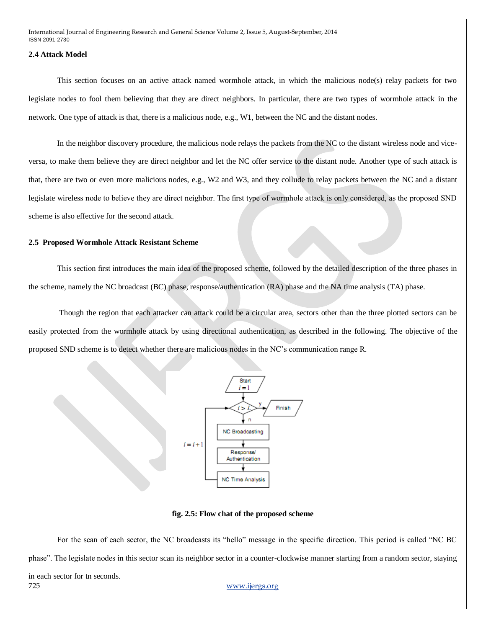### **2.4 Attack Model**

This section focuses on an active attack named wormhole attack, in which the malicious node(s) relay packets for two legislate nodes to fool them believing that they are direct neighbors. In particular, there are two types of wormhole attack in the network. One type of attack is that, there is a malicious node, e.g., W1, between the NC and the distant nodes.

In the neighbor discovery procedure, the malicious node relays the packets from the NC to the distant wireless node and viceversa, to make them believe they are direct neighbor and let the NC offer service to the distant node. Another type of such attack is that, there are two or even more malicious nodes, e.g., W2 and W3, and they collude to relay packets between the NC and a distant legislate wireless node to believe they are direct neighbor. The first type of wormhole attack is only considered, as the proposed SND scheme is also effective for the second attack.

#### **2.5 Proposed Wormhole Attack Resistant Scheme**

This section first introduces the main idea of the proposed scheme, followed by the detailed description of the three phases in the scheme, namely the NC broadcast (BC) phase, response/authentication (RA) phase and the NA time analysis (TA) phase.

Though the region that each attacker can attack could be a circular area, sectors other than the three plotted sectors can be easily protected from the wormhole attack by using directional authentication, as described in the following. The objective of the proposed SND scheme is to detect whether there are malicious nodes in the NC's communication range R.



#### **fig. 2.5: Flow chat of the proposed scheme**

For the scan of each sector, the NC broadcasts its "hello" message in the specific direction. This period is called "NC BC phase". The legislate nodes in this sector scan its neighbor sector in a counter-clockwise manner starting from a random sector, staying in each sector for tn seconds.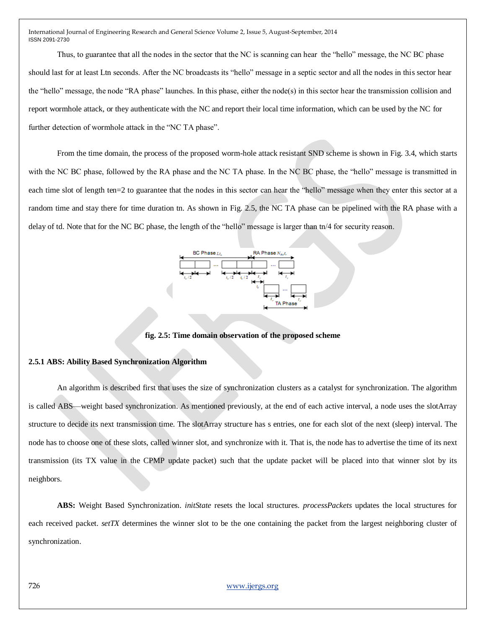Thus, to guarantee that all the nodes in the sector that the NC is scanning can hear the "hello" message, the NC BC phase should last for at least Ltn seconds. After the NC broadcasts its "hello" message in a septic sector and all the nodes in this sector hear the "hello" message, the node "RA phase" launches. In this phase, either the node(s) in this sector hear the transmission collision and report wormhole attack, or they authenticate with the NC and report their local time information, which can be used by the NC for further detection of wormhole attack in the "NC TA phase".

From the time domain, the process of the proposed worm-hole attack resistant SND scheme is shown in Fig. 3.4, which starts with the NC BC phase, followed by the RA phase and the NC TA phase. In the NC BC phase, the "hello" message is transmitted in each time slot of length ten=2 to guarantee that the nodes in this sector can hear the "hello" message when they enter this sector at a random time and stay there for time duration tn. As shown in Fig. 2.5, the NC TA phase can be pipelined with the RA phase with a delay of td. Note that for the NC BC phase, the length of the "hello" message is larger than tn/4 for security reason.



**fig. 2.5: Time domain observation of the proposed scheme**

#### **2.5.1 ABS: Ability Based Synchronization Algorithm**

An algorithm is described first that uses the size of synchronization clusters as a catalyst for synchronization. The algorithm is called ABS—weight based synchronization. As mentioned previously, at the end of each active interval, a node uses the slotArray structure to decide its next transmission time. The slotArray structure has s entries, one for each slot of the next (sleep) interval. The node has to choose one of these slots, called winner slot, and synchronize with it. That is, the node has to advertise the time of its next transmission (its TX value in the CPMP update packet) such that the update packet will be placed into that winner slot by its neighbors.

**ABS:** Weight Based Synchronization. *initState* resets the local structures. *processPackets* updates the local structures for each received packet. *setTX* determines the winner slot to be the one containing the packet from the largest neighboring cluster of synchronization.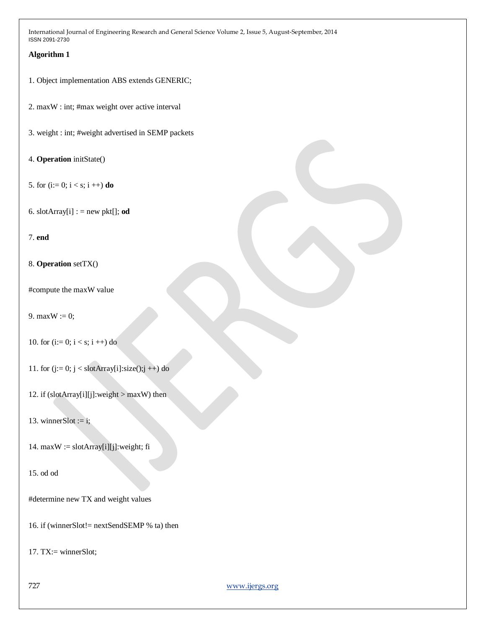# **Algorithm 1**

1. Object implementation ABS extends GENERIC;

- 2. maxW : int; #max weight over active interval
- 3. weight : int; #weight advertised in SEMP packets
- 4. **Operation** initState()
- 5. for  $(i:= 0; i < s; i++)$  **do**
- 6. slotArray $[i]$  : = new pkt $[j]$ ; od

## 7. **end**

8. **Operation** setTX()

#compute the maxW value

9. max $W := 0$ ;

10. for  $(i=0; i < s; i++)$  do

```
11. for (j=0; j <slotArray[i]:size();j +) do
```
12. if  $(slotArray[i][j]:weight > maxW)$  then

13. winnerSlot  $:=$  i:

14. max $W :=$ slotArray[i][j]:weight; fi

15. od od

#determine new TX and weight values

16. if (winnerSlot!= nextSendSEMP % ta) then

17. TX:= winnerSlot;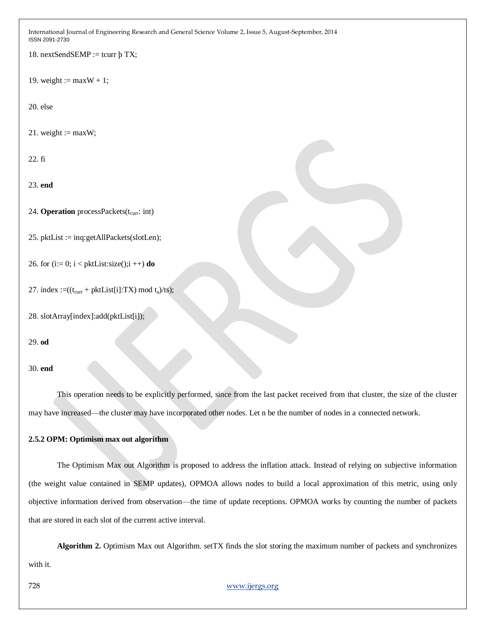18. nextSendSEMP := tcurr þ TX;

19. weight :=  $maxW + 1$ ;

20. else

21. weight  $:= maxW$ ;

22. fi

23. **end**

24. **Operation** processPackets(t<sub>curr</sub>: int)

25. pktList := inq:getAllPackets(slotLen);

26. for (i:= 0; i < pktList:size();i ++) **do** 

27. index := $((t_{curr} + \text{pktList}[i]:TX) \text{ mod } t_a)/ts);$ 

28. slotArray[index]:add(pktList[i]);

29. **od**

30. **end**

This operation needs to be explicitly performed, since from the last packet received from that cluster, the size of the cluster may have increased—the cluster may have incorporated other nodes. Let n be the number of nodes in a connected network.

#### **2.5.2 OPM: Optimism max out algorithm**

The Optimism Max out Algorithm is proposed to address the inflation attack. Instead of relying on subjective information (the weight value contained in SEMP updates), OPMOA allows nodes to build a local approximation of this metric, using only objective information derived from observation—the time of update receptions. OPMOA works by counting the number of packets that are stored in each slot of the current active interval.

**Algorithm 2.** Optimism Max out Algorithm. setTX finds the slot storing the maximum number of packets and synchronizes with it.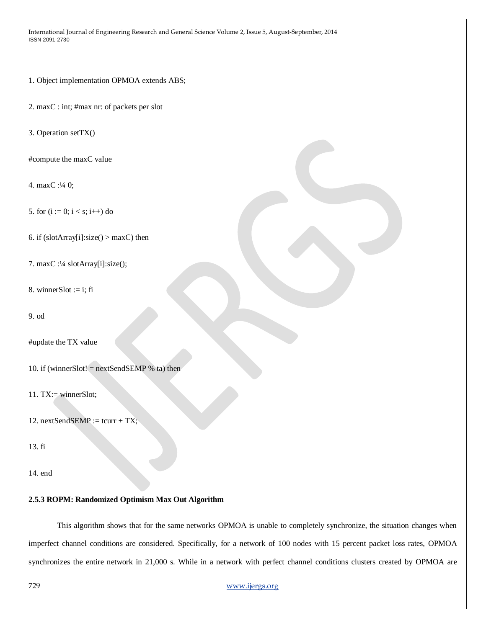1. Object implementation OPMOA extends ABS;

2. maxC : int; #max nr: of packets per slot

3. Operation setTX()

#compute the maxC value

4. maxC :¼ 0;

5. for  $(i := 0; i < s; i++)$  do

6. if  $(slotArray[i]:size() > maxC)$  then

7. maxC :¼ slotArray[i]:size();

8. winnerSlot := i; fi

9. od

#update the TX value

10. if (winnerSlot! = nextSendSEMP % ta) then

11. TX:= winnerSlot;

12. nextSendSEMP := tcurr +  $TX$ :

13. fi

14. end

## **2.5.3 ROPM: Randomized Optimism Max Out Algorithm**

This algorithm shows that for the same networks OPMOA is unable to completely synchronize, the situation changes when imperfect channel conditions are considered. Specifically, for a network of 100 nodes with 15 percent packet loss rates, OPMOA synchronizes the entire network in 21,000 s. While in a network with perfect channel conditions clusters created by OPMOA are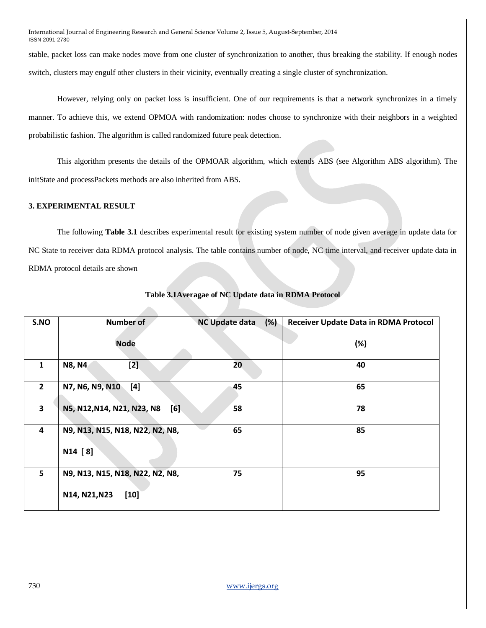stable, packet loss can make nodes move from one cluster of synchronization to another, thus breaking the stability. If enough nodes switch, clusters may engulf other clusters in their vicinity, eventually creating a single cluster of synchronization.

However, relying only on packet loss is insufficient. One of our requirements is that a network synchronizes in a timely manner. To achieve this, we extend OPMOA with randomization: nodes choose to synchronize with their neighbors in a weighted probabilistic fashion. The algorithm is called randomized future peak detection.

This algorithm presents the details of the OPMOAR algorithm, which extends ABS (see Algorithm ABS algorithm). The initState and processPackets methods are also inherited from ABS.

## **3. EXPERIMENTAL RESULT**

The following **Table 3.1** describes experimental result for existing system number of node given average in update data for NC State to receiver data RDMA protocol analysis. The table contains number of node, NC time interval, and receiver update data in RDMA protocol details are shown

| S.NO           | <b>Number of</b>                                           | <b>NC Update data</b><br>(%) | Receiver Update Data in RDMA Protocol |
|----------------|------------------------------------------------------------|------------------------------|---------------------------------------|
|                | <b>Node</b>                                                |                              | (%)                                   |
| 1              | $[2]$<br><b>N8, N4</b>                                     | 20                           | 40                                    |
| $\overline{2}$ | N7, N6, N9, N10<br>[4]                                     | 45                           | 65                                    |
| 3              | N5, N12, N14, N21, N23, N8<br>[6]                          | 58                           | 78                                    |
| 4              | N9, N13, N15, N18, N22, N2, N8,<br>N <sub>14</sub> [8]     | 65                           | 85                                    |
| 5              | N9, N13, N15, N18, N22, N2, N8,<br>N14, N21, N23<br>$[10]$ | 75                           | 95                                    |

## **Table 3.1Averagae of NC Update data in RDMA Protocol**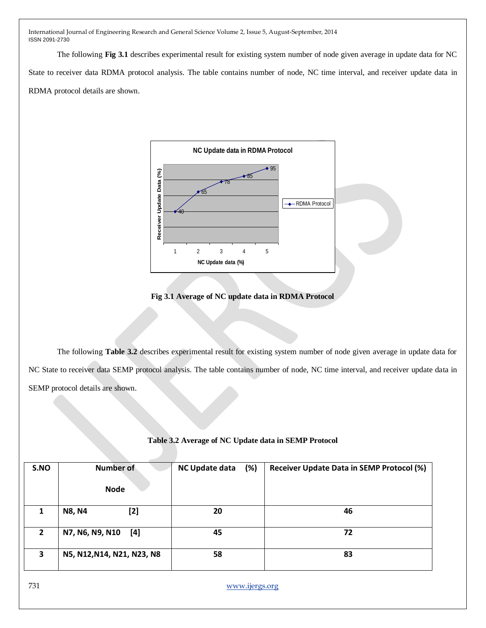The following **Fig 3.1** describes experimental result for existing system number of node given average in update data for NC State to receiver data RDMA protocol analysis. The table contains number of node, NC time interval, and receiver update data in RDMA protocol details are shown.



**Fig 3.1 Average of NC update data in RDMA Protocol**

The following **Table 3.2** describes experimental result for existing system number of node given average in update data for NC State to receiver data SEMP protocol analysis. The table contains number of node, NC time interval, and receiver update data in SEMP protocol details are shown.

|  | Table 3.2 Average of NC Update data in SEMP Protocol |  |
|--|------------------------------------------------------|--|
|  |                                                      |  |

| S.NO | <b>Number of</b>           | (%)<br><b>NC Update data</b> | <b>Receiver Update Data in SEMP Protocol (%)</b> |
|------|----------------------------|------------------------------|--------------------------------------------------|
|      | <b>Node</b>                |                              |                                                  |
|      | $[2]$<br><b>N8, N4</b>     | 20                           | 46                                               |
|      |                            |                              |                                                  |
| 2    | N7, N6, N9, N10<br>[4]     | 45                           | 72                                               |
|      |                            |                              |                                                  |
| 3    | N5, N12, N14, N21, N23, N8 | 58                           | 83                                               |
|      |                            |                              |                                                  |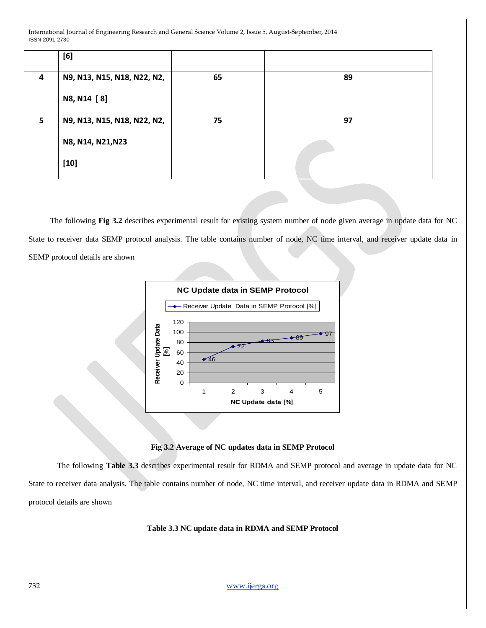|   | [6]                         |    |    |
|---|-----------------------------|----|----|
| 4 | N9, N13, N15, N18, N22, N2, | 65 | 89 |
|   | N8, N14 [8]                 |    |    |
| 5 | N9, N13, N15, N18, N22, N2, | 75 | 97 |
|   | N8, N14, N21, N23           |    |    |
|   | $[10]$                      |    |    |

The following **Fig 3.2** describes experimental result for existing system number of node given average in update data for NC State to receiver data SEMP protocol analysis. The table contains number of node, NC time interval, and receiver update data in SEMP protocol details are shown



**Fig 3.2 Average of NC updates data in SEMP Protocol**

The following **Table 3.3** describes experimental result for RDMA and SEMP protocol and average in update data for NC State to receiver data analysis. The table contains number of node, NC time interval, and receiver update data in RDMA and SEMP protocol details are shown

**Table 3.3 NC update data in RDMA and SEMP Protocol**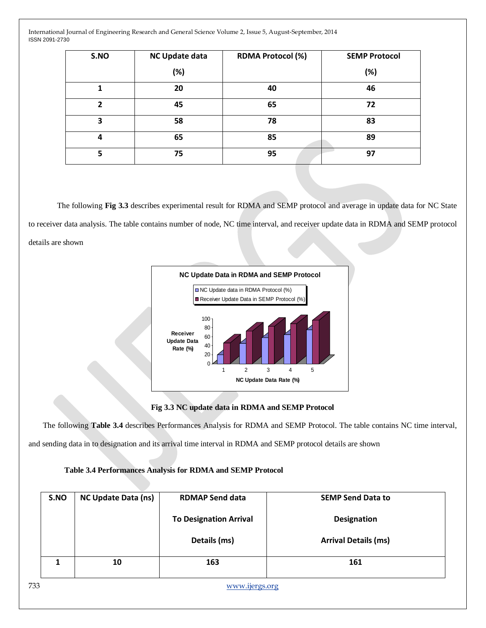| S.NO         | <b>NC Update data</b> | <b>RDMA Protocol (%)</b> | <b>SEMP Protocol</b> |
|--------------|-----------------------|--------------------------|----------------------|
|              | (%)                   |                          | (%)                  |
|              | 20                    | 40                       | 46                   |
| $\mathbf{z}$ | 45                    | 65                       | 72                   |
| 3            | 58                    | 78                       | 83                   |
| 4            | 65                    | 85                       | 89                   |
| 5            | 75                    | 95                       | 97                   |

The following **Fig 3.3** describes experimental result for RDMA and SEMP protocol and average in update data for NC State to receiver data analysis. The table contains number of node, NC time interval, and receiver update data in RDMA and SEMP protocol details are shown



## **Fig 3.3 NC update data in RDMA and SEMP Protocol**

The following **Table 3.4** describes Performances Analysis for RDMA and SEMP Protocol. The table contains NC time interval,

and sending data in to designation and its arrival time interval in RDMA and SEMP protocol details are shown

## **Table 3.4 Performances Analysis for RDMA and SEMP Protocol**

| S.NO | <b>NC Update Data (ns)</b> | <b>RDMAP Send data</b>        | <b>SEMP Send Data to</b>    |  |
|------|----------------------------|-------------------------------|-----------------------------|--|
|      |                            | <b>To Designation Arrival</b> | <b>Designation</b>          |  |
|      |                            | Details (ms)                  | <b>Arrival Details (ms)</b> |  |
|      | 10                         | 163                           | 161                         |  |
| 733  | www.ijergs.org             |                               |                             |  |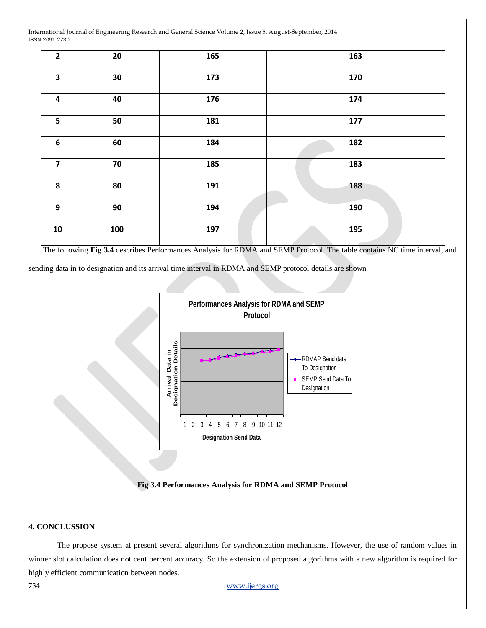| $\overline{\mathbf{2}}$ | 20  | 165 | 163 |
|-------------------------|-----|-----|-----|
| 3                       | 30  | 173 | 170 |
| 4                       | 40  | 176 | 174 |
| 5                       | 50  | 181 | 177 |
| $\boldsymbol{6}$        | 60  | 184 | 182 |
| $\overline{\mathbf{z}}$ | 70  | 185 | 183 |
| 8                       | 80  | 191 | 188 |
| $\boldsymbol{9}$        | 90  | 194 | 190 |
| ${\bf 10}$              | 100 | 197 | 195 |

The following **Fig 3.4** describes Performances Analysis for RDMA and SEMP Protocol. The table contains NC time interval, and

sending data in to designation and its arrival time interval in RDMA and SEMP protocol details are shown



### **Fig 3.4 Performances Analysis for RDMA and SEMP Protocol**

### **4. CONCLUSSION**

The propose system at present several algorithms for synchronization mechanisms. However, the use of random values in winner slot calculation does not cent percent accuracy. So the extension of proposed algorithms with a new algorithm is required for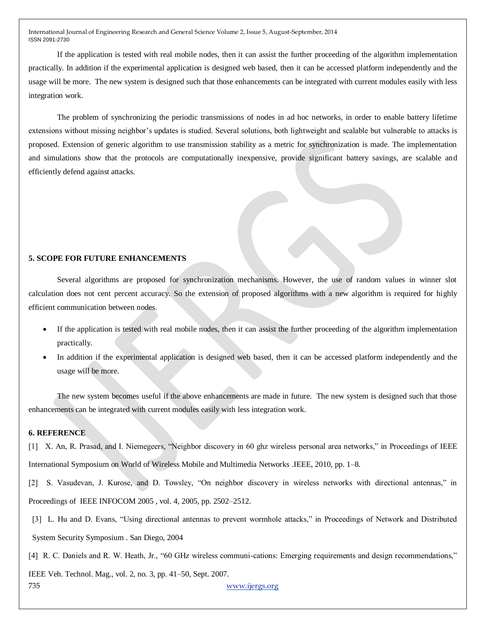If the application is tested with real mobile nodes, then it can assist the further proceeding of the algorithm implementation practically. In addition if the experimental application is designed web based, then it can be accessed platform independently and the usage will be more. The new system is designed such that those enhancements can be integrated with current modules easily with less integration work.

The problem of synchronizing the periodic transmissions of nodes in ad hoc networks, in order to enable battery lifetime extensions without missing neighbor's updates is studied. Several solutions, both lightweight and scalable but vulnerable to attacks is proposed. Extension of generic algorithm to use transmission stability as a metric for synchronization is made. The implementation and simulations show that the protocols are computationally inexpensive, provide significant battery savings, are scalable and efficiently defend against attacks.

### **5. SCOPE FOR FUTURE ENHANCEMENTS**

Several algorithms are proposed for synchronization mechanisms. However, the use of random values in winner slot calculation does not cent percent accuracy. So the extension of proposed algorithms with a new algorithm is required for highly efficient communication between nodes.

- If the application is tested with real mobile nodes, then it can assist the further proceeding of the algorithm implementation practically.
- In addition if the experimental application is designed web based, then it can be accessed platform independently and the usage will be more.

The new system becomes useful if the above enhancements are made in future. The new system is designed such that those enhancements can be integrated with current modules easily with less integration work.

## **6. REFERENCE**

[1] X. An, R. Prasad, and I. Niemegeers, "Neighbor discovery in 60 ghz wireless personal area networks," in Proceedings of IEEE International Symposium on World of Wireless Mobile and Multimedia Networks .IEEE, 2010, pp. 1–8.

[2] S. Vasudevan, J. Kurose, and D. Towsley, "On neighbor discovery in wireless networks with directional antennas," in Proceedings of IEEE INFOCOM 2005 , vol. 4, 2005, pp. 2502–2512.

[3] L. Hu and D. Evans, "Using directional antennas to prevent wormhole attacks," in Proceedings of Network and Distributed System Security Symposium . San Diego, 2004

[4] R. C. Daniels and R. W. Heath, Jr., "60 GHz wireless communi-cations: Emerging requirements and design recommendations,"

IEEE Veh. Technol. Mag., vol. 2, no. 3, pp. 41–50, Sept. 2007.